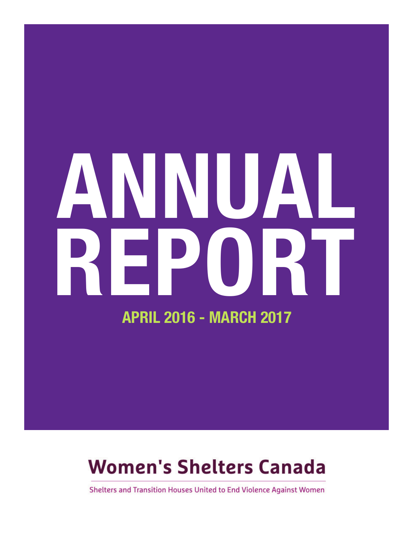# **ANNUAL APRIL 2016 - MARCH 2017 REPORT**

#### **Women's Shelters Canada**

Shelters and Transition Houses United to End Violence Against Women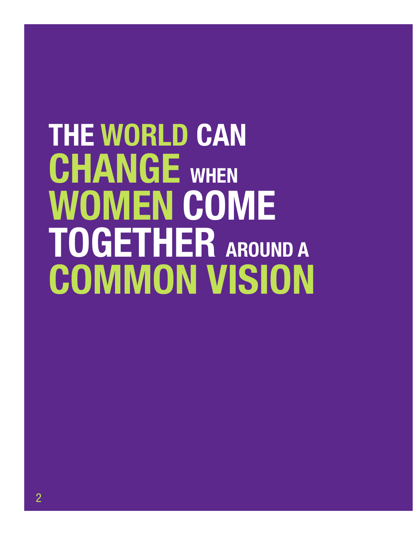# **THE WORLD CAN CHANGE WHEN WOMEN COME TOGETHER AROUND <sup>A</sup> COMMON VISION**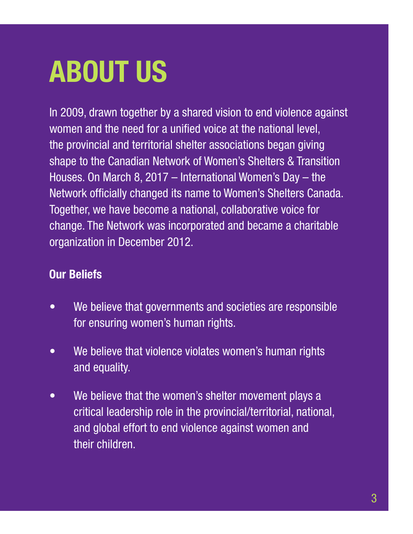### **ABOUT US**

In 2009, drawn together by a shared vision to end violence against women and the need for a unified voice at the national level, the provincial and territorial shelter associations began giving shape to the Canadian Network of Women's Shelters & Transition Houses. On March 8, 2017 – International Women's Day – the Network officially changed its name to Women's Shelters Canada. Together, we have become a national, collaborative voice for change. The Network was incorporated and became a charitable organization in December 2012.

#### **Our Beliefs**

- We believe that governments and societies are responsible for ensuring women's human rights.
- We believe that violence violates women's human rights and equality.
- We believe that the women's shelter movement plays a critical leadership role in the provincial/territorial, national, and global effort to end violence against women and their children.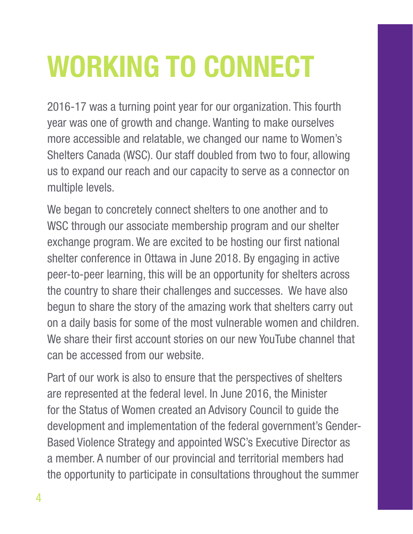# **WORKING TO CONNECT**

2016-17 was a turning point year for our organization. This fourth year was one of growth and change. Wanting to make ourselves more accessible and relatable, we changed our name to Women's Shelters Canada (WSC). Our staff doubled from two to four, allowing us to expand our reach and our capacity to serve as a connector on multiple levels.

We began to concretely connect shelters to one another and to WSC through our associate membership program and our shelter exchange program. We are excited to be hosting our first national shelter conference in Ottawa in June 2018. By engaging in active peer-to-peer learning, this will be an opportunity for shelters across the country to share their challenges and successes. We have also begun to share the story of the amazing work that shelters carry out on a daily basis for some of the most vulnerable women and children. We share their first account stories on our new YouTube channel that can be accessed from our website.

Part of our work is also to ensure that the perspectives of shelters are represented at the federal level. In June 2016, the Minister for the Status of Women created an Advisory Council to guide the development and implementation of the federal government's Gender-Based Violence Strategy and appointed WSC's Executive Director as a member. A number of our provincial and territorial members had the opportunity to participate in consultations throughout the summer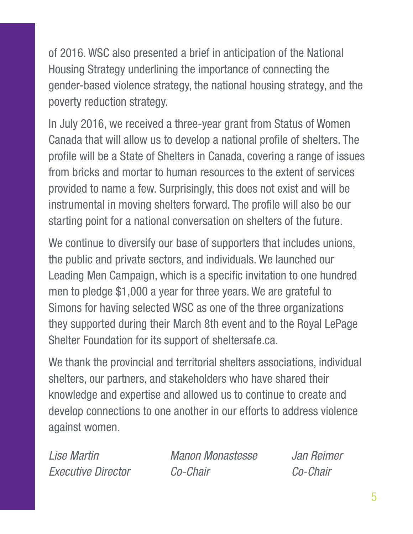of 2016. WSC also presented a brief in anticipation of the National Housing Strategy underlining the importance of connecting the gender-based violence strategy, the national housing strategy, and the poverty reduction strategy.

In July 2016, we received a three-year grant from Status of Women Canada that will allow us to develop a national profile of shelters. The profile will be a State of Shelters in Canada, covering a range of issues from bricks and mortar to human resources to the extent of services provided to name a few. Surprisingly, this does not exist and will be instrumental in moving shelters forward. The profile will also be our starting point for a national conversation on shelters of the future.

We continue to diversify our base of supporters that includes unions, the public and private sectors, and individuals. We launched our Leading Men Campaign, which is a specific invitation to one hundred men to pledge \$1,000 a year for three years. We are grateful to Simons for having selected WSC as one of the three organizations they supported during their March 8th event and to the Royal LePage Shelter Foundation for its support of sheltersafe.ca.

We thank the provincial and territorial shelters associations, individual shelters, our partners, and stakeholders who have shared their knowledge and expertise and allowed us to continue to create and develop connections to one another in our efforts to address violence against women.

*Lise Martin Manon Monastesse Jan Reimer Executive Director Co-Chair Co-Chair*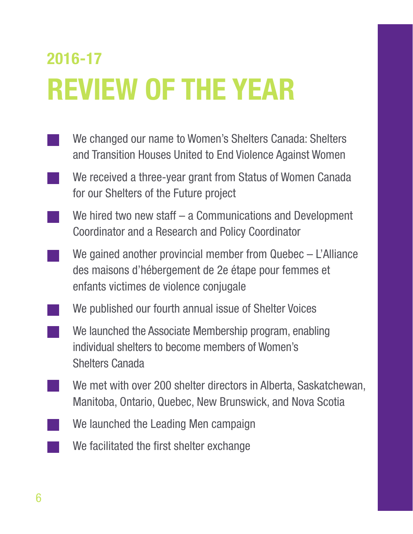#### **2016-17 REVIEW OF THE YEAR**

- We changed our name to Women's Shelters Canada: Shelters and Transition Houses United to End Violence Against Women
	- We received a three-year grant from Status of Women Canada for our Shelters of the Future project
	- We hired two new staff a Communications and Development Coordinator and a Research and Policy Coordinator
	- We gained another provincial member from Quebec L'Alliance des maisons d'hébergement de 2e étape pour femmes et enfants victimes de violence conjugale
	- We published our fourth annual issue of Shelter Voices
		- We launched the Associate Membership program, enabling individual shelters to become members of Women's Shelters Canada
	- We met with over 200 shelter directors in Alberta, Saskatchewan, Manitoba, Ontario, Quebec, New Brunswick, and Nova Scotia
	- We launched the Leading Men campaign
		- We facilitated the first shelter exchange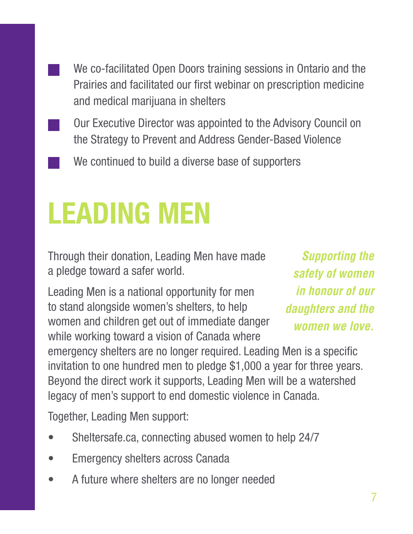We co-facilitated Open Doors training sessions in Ontario and the Prairies and facilitated our first webinar on prescription medicine and medical marijuana in shelters

- Our Executive Director was appointed to the Advisory Council on the Strategy to Prevent and Address Gender-Based Violence
	- We continued to build a diverse base of supporters

#### **LEADING MEN**

Through their donation, Leading Men have made a pledge toward a safer world.

Leading Men is a national opportunity for men to stand alongside women's shelters, to help women and children get out of immediate danger while working toward a vision of Canada where

*Supporting the safety of women in honour of our daughters and the women we love.*

emergency shelters are no longer required. Leading Men is a specific invitation to one hundred men to pledge \$1,000 a year for three years. Beyond the direct work it supports, Leading Men will be a watershed legacy of men's support to end domestic violence in Canada.

Together, Leading Men support:

- Sheltersafe.ca, connecting abused women to help 24/7
- Emergency shelters across Canada
- A future where shelters are no longer needed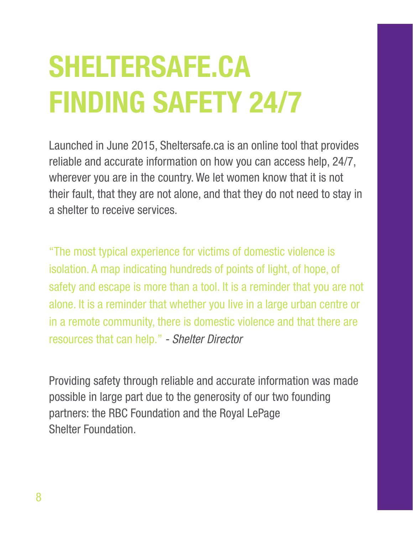# **SHELTERSAFE.CA FINDING SAFETY 24/7**

Launched in June 2015, Sheltersafe.ca is an online tool that provides reliable and accurate information on how you can access help, 24/7, wherever you are in the country. We let women know that it is not their fault, that they are not alone, and that they do not need to stay in a shelter to receive services.

"The most typical experience for victims of domestic violence is isolation. A map indicating hundreds of points of light, of hope, of safety and escape is more than a tool. It is a reminder that you are not alone. It is a reminder that whether you live in a large urban centre or in a remote community, there is domestic violence and that there are resources that can help." *- Shelter Director*

Providing safety through reliable and accurate information was made possible in large part due to the generosity of our two founding partners: the RBC Foundation and the Royal LePage Shelter Foundation.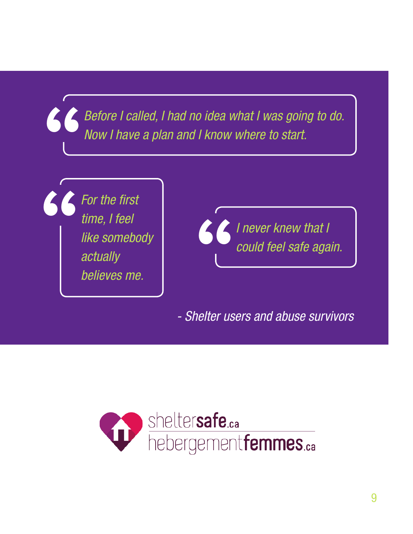**"** *Before I called, I had no idea what I was going to do. Now I have a plan and I know where to start.*

**"** *For the first time, I feel like somebody actually believes me.*



*- Shelter users and abuse survivors*

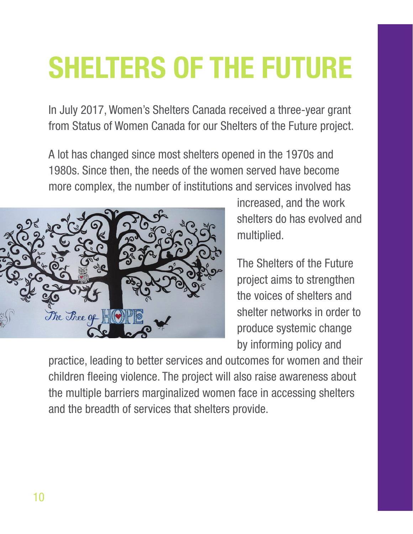### **SHELTERS OF THE FUTURE**

In July 2017, Women's Shelters Canada received a three-year grant from Status of Women Canada for our Shelters of the Future project.

A lot has changed since most shelters opened in the 1970s and 1980s. Since then, the needs of the women served have become more complex, the number of institutions and services involved has



increased, and the work shelters do has evolved and multiplied.

The Shelters of the Future project aims to strengthen the voices of shelters and shelter networks in order to produce systemic change by informing policy and

practice, leading to better services and outcomes for women and their children fleeing violence. The project will also raise awareness about the multiple barriers marginalized women face in accessing shelters and the breadth of services that shelters provide.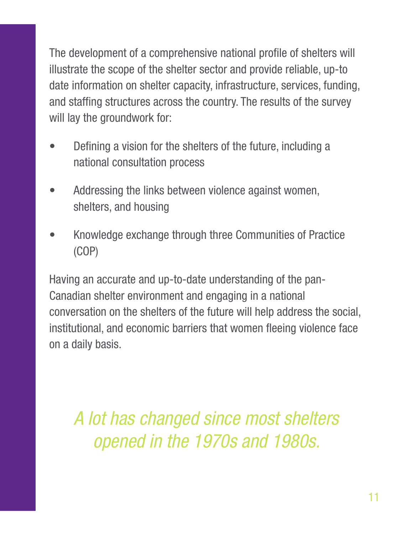The development of a comprehensive national profile of shelters will illustrate the scope of the shelter sector and provide reliable, up-to date information on shelter capacity, infrastructure, services, funding, and staffing structures across the country. The results of the survey will lay the groundwork for:

- Defining a vision for the shelters of the future, including a national consultation process
- Addressing the links between violence against women, shelters, and housing
- Knowledge exchange through three Communities of Practice (COP)

Having an accurate and up-to-date understanding of the pan-Canadian shelter environment and engaging in a national conversation on the shelters of the future will help address the social, institutional, and economic barriers that women fleeing violence face on a daily basis.

*A lot has changed since most shelters opened in the 1970s and 1980s.*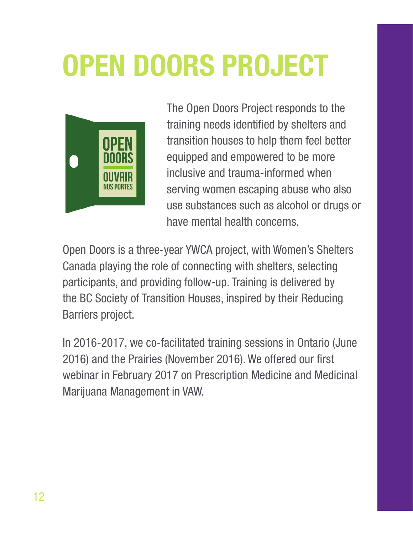# **OPEN DOORS PROJECT**



The Open Doors Project responds to the training needs identified by shelters and transition houses to help them feel better equipped and empowered to be more inclusive and trauma-informed when serving women escaping abuse who also use substances such as alcohol or drugs or have mental health concerns.

Open Doors is a three-year YWCA project, with Women's Shelters Canada playing the role of connecting with shelters, selecting participants, and providing follow-up. Training is delivered by the BC Society of Transition Houses, inspired by their Reducing Barriers project.

In 2016-2017, we co-facilitated training sessions in Ontario (June 2016) and the Prairies (November 2016). We offered our first webinar in February 2017 on Prescription Medicine and Medicinal Marijuana Management in VAW.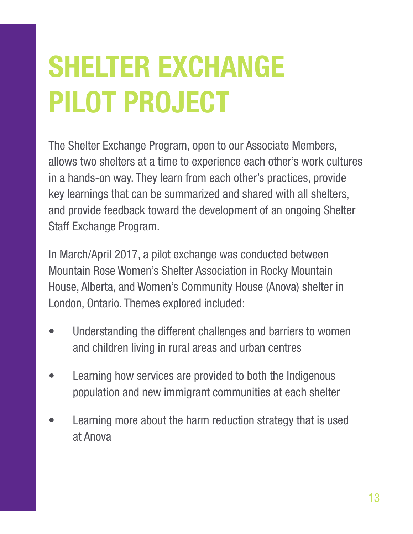# **SHELTER EXCHANGE PILOT PROJECT**

The Shelter Exchange Program, open to our Associate Members, allows two shelters at a time to experience each other's work cultures in a hands-on way. They learn from each other's practices, provide key learnings that can be summarized and shared with all shelters, and provide feedback toward the development of an ongoing Shelter Staff Exchange Program.

In March/April 2017, a pilot exchange was conducted between Mountain Rose Women's Shelter Association in Rocky Mountain House, Alberta, and Women's Community House (Anova) shelter in London, Ontario. Themes explored included:

- Understanding the different challenges and barriers to women and children living in rural areas and urban centres
- Learning how services are provided to both the Indigenous population and new immigrant communities at each shelter
- Learning more about the harm reduction strategy that is used at Anova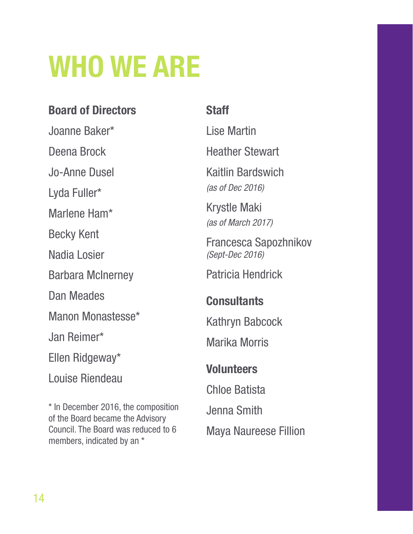### **WHO WE ARE**

#### **Board of Directors**

Joanne Baker\*

#### **Staff**

Lise Martin

Heather Stewart

Kaitlin Bardswich

*(as of Dec 2016)*

Krystle Maki *(as of March 2017)*

Francesca Sapozhnikov *(Sept-Dec 2016)*

Patricia Hendrick

#### **Consultants**

Kathryn Babcock

Marika Morris

#### **Volunteers**

Chloe Batista Jenna Smith Maya Naureese Fillion

Deena Brock Jo-Anne Dusel Lyda Fuller\* Marlene Ham\* Becky Kent Nadia Losier Barbara McInerney Dan Meades Manon Monastesse\* Jan Reimer\* Ellen Ridgeway\* Louise Riendeau

\* In December 2016, the composition of the Board became the Advisory Council. The Board was reduced to 6 members, indicated by an \*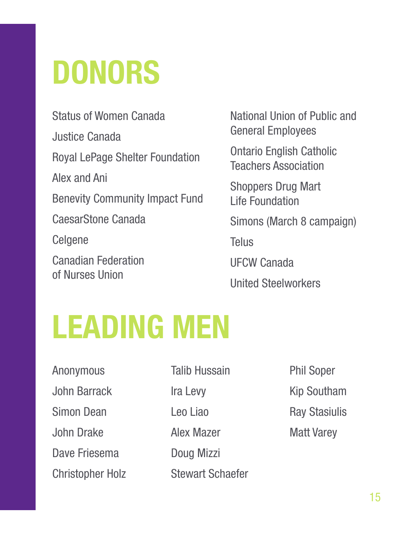# **DONORS**

Status of Women Canada Justice Canada Royal LePage Shelter Foundation Alex and Ani Benevity Community Impact Fund CaesarStone Canada Celgene Canadian Federation of Nurses Union

National Union of Public and General Employees

Ontario English Catholic Teachers Association

Shoppers Drug Mart Life Foundation

Simons (March 8 campaign)

Telus

UFCW Canada

United Steelworkers

### **LEADING MEN**

Anonymous John Barrack Simon Dean John Drake Dave Friesema Christopher Holz

Talib Hussain Ira Levy Leo Liao

Alex Mazer

Doug Mizzi

Stewart Schaefer

Phil Soper Kip Southam Ray Stasiulis Matt Varey